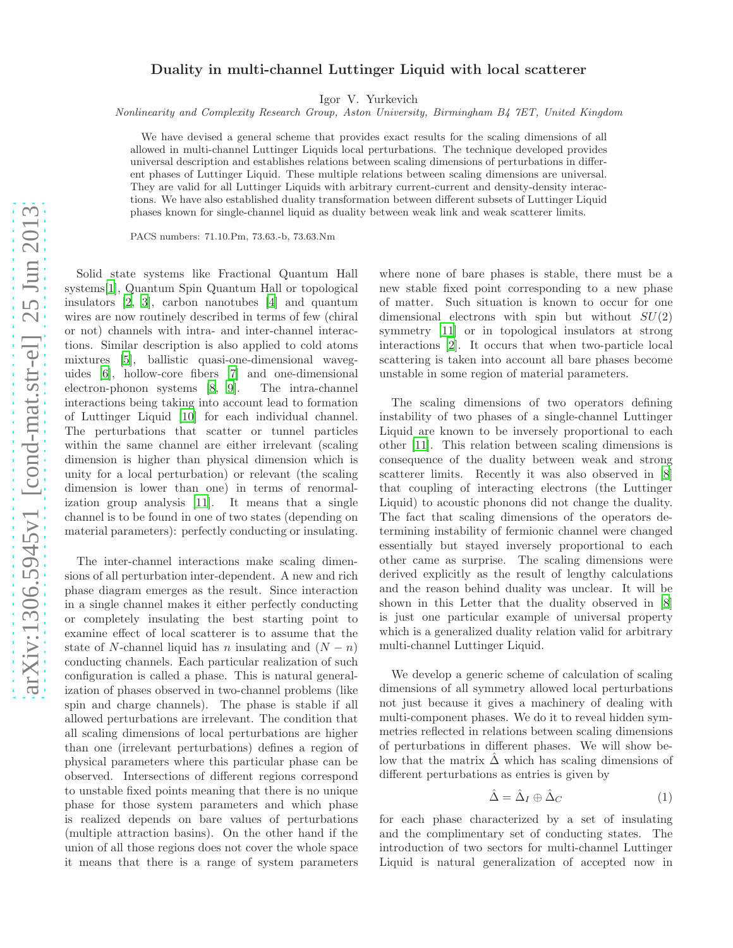## Duality in multi-channel Luttinger Liquid with local scatterer

Igor V. Yurkevich

Nonlinearity and Complexity Research Group, Aston University, Birmingham B4 7ET, United Kingdom

We have devised a general scheme that provides exact results for the scaling dimensions of all allowed in multi-channel Luttinger Liquids local perturbations. The technique developed provides universal description and establishes relations between scaling dimensions of perturbations in different phases of Luttinger Liquid. These multiple relations between scaling dimensions are universal. They are valid for all Luttinger Liquids with arbitrary current-current and density-density interactions. We have also established duality transformation between different subsets of Luttinger Liquid phases known for single-channel liquid as duality between weak link and weak scatterer limits.

PACS numbers: 71.10.Pm, 73.63.-b, 73.63.Nm

Solid state systems like Fractional Quantum Hall systems[\[1\]](#page-4-0), Quantum Spin Quantum Hall or topological insulators [\[2,](#page-4-1) [3\]](#page-4-2), carbon nanotubes [\[4\]](#page-4-3) and quantum wires are now routinely described in terms of few (chiral or not) channels with intra- and inter-channel interactions. Similar description is also applied to cold atoms mixtures [\[5](#page-4-4)], ballistic quasi-one-dimensional waveguides [\[6\]](#page-4-5), hollow-core fibers [\[7](#page-4-6)] and one-dimensional electron-phonon systems [\[8,](#page-4-7) [9](#page-4-8)]. The intra-channel interactions being taking into account lead to formation of Luttinger Liquid [\[10\]](#page-4-9) for each individual channel. The perturbations that scatter or tunnel particles within the same channel are either irrelevant (scaling dimension is higher than physical dimension which is unity for a local perturbation) or relevant (the scaling dimension is lower than one) in terms of renormalization group analysis [\[11\]](#page-4-10). It means that a single channel is to be found in one of two states (depending on material parameters): perfectly conducting or insulating.

The inter-channel interactions make scaling dimensions of all perturbation inter-dependent. A new and rich phase diagram emerges as the result. Since interaction in a single channel makes it either perfectly conducting or completely insulating the best starting point to examine effect of local scatterer is to assume that the state of N-channel liquid has n insulating and  $(N - n)$ conducting channels. Each particular realization of such configuration is called a phase. This is natural generalization of phases observed in two-channel problems (like spin and charge channels). The phase is stable if all allowed perturbations are irrelevant. The condition that all scaling dimensions of local perturbations are higher than one (irrelevant perturbations) defines a region of physical parameters where this particular phase can be observed. Intersections of different regions correspond to unstable fixed points meaning that there is no unique phase for those system parameters and which phase is realized depends on bare values of perturbations (multiple attraction basins). On the other hand if the union of all those regions does not cover the whole space it means that there is a range of system parameters

where none of bare phases is stable, there must be a new stable fixed point corresponding to a new phase of matter. Such situation is known to occur for one dimensional electrons with spin but without  $SU(2)$ symmetry [\[11](#page-4-10)] or in topological insulators at strong interactions [\[2\]](#page-4-1). It occurs that when two-particle local scattering is taken into account all bare phases become unstable in some region of material parameters.

The scaling dimensions of two operators defining instability of two phases of a single-channel Luttinger Liquid are known to be inversely proportional to each other [\[11\]](#page-4-10). This relation between scaling dimensions is consequence of the duality between weak and strong scatterer limits. Recently it was also observed in [\[8](#page-4-7)] that coupling of interacting electrons (the Luttinger Liquid) to acoustic phonons did not change the duality. The fact that scaling dimensions of the operators determining instability of fermionic channel were changed essentially but stayed inversely proportional to each other came as surprise. The scaling dimensions were derived explicitly as the result of lengthy calculations and the reason behind duality was unclear. It will be shown in this Letter that the duality observed in [\[8](#page-4-7)] is just one particular example of universal property which is a generalized duality relation valid for arbitrary multi-channel Luttinger Liquid.

We develop a generic scheme of calculation of scaling dimensions of all symmetry allowed local perturbations not just because it gives a machinery of dealing with multi-component phases. We do it to reveal hidden symmetries reflected in relations between scaling dimensions of perturbations in different phases. We will show below that the matrix  $\Delta$  which has scaling dimensions of different perturbations as entries is given by

$$
\hat{\Delta} = \hat{\Delta}_I \oplus \hat{\Delta}_C \tag{1}
$$

for each phase characterized by a set of insulating and the complimentary set of conducting states. The introduction of two sectors for multi-channel Luttinger Liquid is natural generalization of accepted now in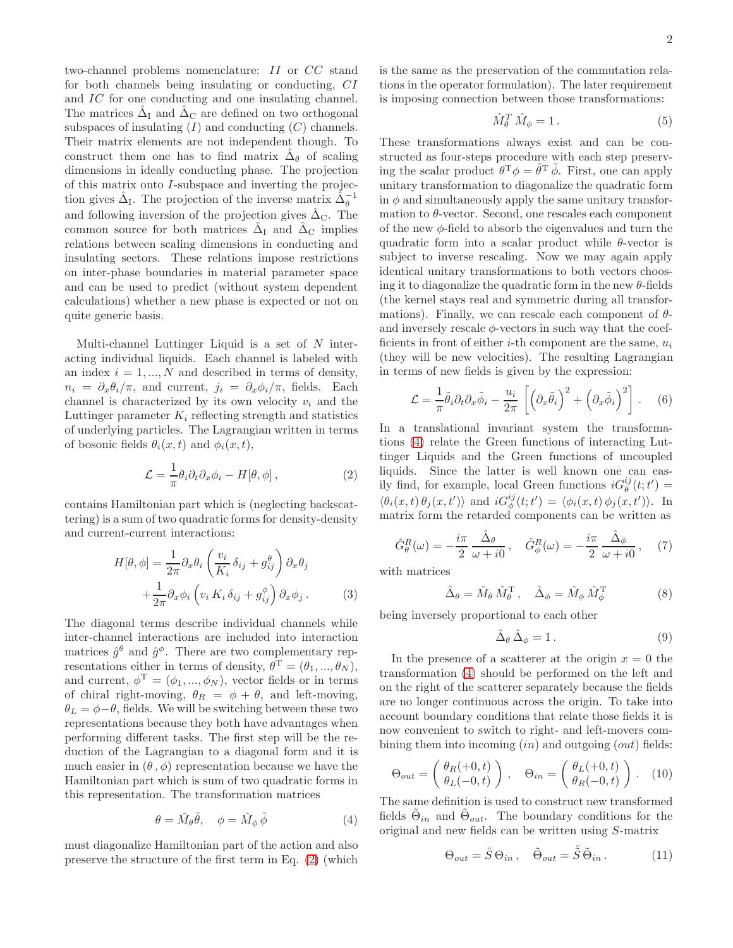two-channel problems nomenclature: II or CC stand for both channels being insulating or conducting, CI and IC for one conducting and one insulating channel. The matrices  $\hat{\Delta}_{I}$  and  $\hat{\Delta}_{C}$  are defined on two orthogonal subspaces of insulating  $(I)$  and conducting  $(C)$  channels. Their matrix elements are not independent though. To construct them one has to find matrix  $\hat{\Delta}_{\theta}$  of scaling dimensions in ideally conducting phase. The projection of this matrix onto I-subspace and inverting the projection gives  $\hat{\Delta}_{I}$ . The projection of the inverse matrix  $\hat{\Delta}_{\theta}^{-1}$ and following inversion of the projection gives  $\hat{\Delta}_{\text{C}}$ . The common source for both matrices  $\hat{\Delta}_{I}$  and  $\hat{\Delta}_{C}$  implies relations between scaling dimensions in conducting and insulating sectors. These relations impose restrictions on inter-phase boundaries in material parameter space and can be used to predict (without system dependent calculations) whether a new phase is expected or not on quite generic basis.

Multi-channel Luttinger Liquid is a set of  $N$  interacting individual liquids. Each channel is labeled with an index  $i = 1, ..., N$  and described in terms of density,  $n_i = \partial_x \theta_i / \pi$ , and current,  $j_i = \partial_x \phi_i / \pi$ , fields. Each channel is characterized by its own velocity  $v_i$  and the Luttinger parameter  $K_i$  reflecting strength and statistics of underlying particles. The Lagrangian written in terms of bosonic fields  $\theta_i(x, t)$  and  $\phi_i(x, t)$ ,

$$
\mathcal{L} = \frac{1}{\pi} \theta_i \partial_t \partial_x \phi_i - H[\theta, \phi], \qquad (2)
$$

contains Hamiltonian part which is (neglecting backscattering) is a sum of two quadratic forms for density-density and current-current interactions:

$$
H[\theta,\phi] = \frac{1}{2\pi} \partial_x \theta_i \left( \frac{v_i}{K_i} \delta_{ij} + g_{ij}^{\theta} \right) \partial_x \theta_j
$$

$$
+ \frac{1}{2\pi} \partial_x \phi_i \left( v_i K_i \delta_{ij} + g_{ij}^{\phi} \right) \partial_x \phi_j . \tag{3}
$$

The diagonal terms describe individual channels while inter-channel interactions are included into interaction matrices  $\hat{g}^{\theta}$  and  $\hat{g}^{\phi}$ . There are two complementary representations either in terms of density,  $\theta^{\mathrm{T}} = (\theta_1, ..., \theta_N)$ , and current,  $\phi^T = (\phi_1, ..., \phi_N)$ , vector fields or in terms of chiral right-moving,  $\theta_R = \phi + \theta$ , and left-moving,  $\theta_L = \phi - \theta$ , fields. We will be switching between these two representations because they both have advantages when performing different tasks. The first step will be the reduction of the Lagrangian to a diagonal form and it is much easier in  $(\theta, \phi)$  representation because we have the Hamiltonian part which is sum of two quadratic forms in this representation. The transformation matrices

$$
\theta = \hat{M}_{\theta}\tilde{\theta}, \quad \phi = \hat{M}_{\phi}\tilde{\phi} \tag{4}
$$

must diagonalize Hamiltonian part of the action and also preserve the structure of the first term in Eq. [\(2\)](#page-1-0) (which

is the same as the preservation of the commutation relations in the operator formulation). The later requirement is imposing connection between those transformations:

$$
\hat{M}_{\theta}^T \hat{M}_{\phi} = 1. \tag{5}
$$

These transformations always exist and can be constructed as four-steps procedure with each step preserving the scalar product  $\theta^T \phi = \tilde{\theta}^T \tilde{\phi}$ . First, one can apply unitary transformation to diagonalize the quadratic form in  $\phi$  and simultaneously apply the same unitary transformation to  $\theta$ -vector. Second, one rescales each component of the new  $\phi$ -field to absorb the eigenvalues and turn the quadratic form into a scalar product while  $\theta$ -vector is subject to inverse rescaling. Now we may again apply identical unitary transformations to both vectors choosing it to diagonalize the quadratic form in the new  $\theta$ -fields (the kernel stays real and symmetric during all transformations). Finally, we can rescale each component of  $\theta$ and inversely rescale  $\phi$ -vectors in such way that the coefficients in front of either  $i$ -th component are the same,  $u_i$ (they will be new velocities). The resulting Lagrangian in terms of new fields is given by the expression:

$$
\mathcal{L} = \frac{1}{\pi} \tilde{\theta}_i \partial_t \partial_x \tilde{\phi}_i - \frac{u_i}{2\pi} \left[ \left( \partial_x \tilde{\theta}_i \right)^2 + \left( \partial_x \tilde{\phi}_i \right)^2 \right]. \tag{6}
$$

<span id="page-1-0"></span>In a translational invariant system the transformations [\(4\)](#page-1-1) relate the Green functions of interacting Luttinger Liquids and the Green functions of uncoupled liquids. Since the latter is well known one can easily find, for example, local Green functions  $iG_{\theta}^{ij}(t;t') =$  $\langle \theta_i(x,t) \theta_j(x,t') \rangle$  and  $iG_{\phi}^{ij}(t;t') = \langle \phi_i(x,t) \phi_j(x,t') \rangle$ . In matrix form the retarded components can be written as

$$
\hat{G}_{\theta}^{R}(\omega) = -\frac{i\pi}{2} \frac{\hat{\Delta}_{\theta}}{\omega + i0}, \quad \hat{G}_{\phi}^{R}(\omega) = -\frac{i\pi}{2} \frac{\hat{\Delta}_{\phi}}{\omega + i0}, \quad (7)
$$

with matrices

$$
\hat{\Delta}_{\theta} = \hat{M}_{\theta} \,\hat{M}_{\theta}^{\mathrm{T}} \,, \quad \hat{\Delta}_{\phi} = \hat{M}_{\phi} \,\hat{M}_{\phi}^{\mathrm{T}} \tag{8}
$$

being inversely proportional to each other

$$
\hat{\Delta}_{\theta} \,\hat{\Delta}_{\phi} = 1. \tag{9}
$$

In the presence of a scatterer at the origin  $x = 0$  the transformation [\(4\)](#page-1-1) should be performed on the left and on the right of the scatterer separately because the fields are no longer continuous across the origin. To take into account boundary conditions that relate those fields it is now convenient to switch to right- and left-movers combining them into incoming  $(in)$  and outgoing  $(out)$  fields:

$$
\Theta_{out} = \begin{pmatrix} \theta_R(+0,t) \\ \theta_L(-0,t) \end{pmatrix}, \quad \Theta_{in} = \begin{pmatrix} \theta_L(+0,t) \\ \theta_R(-0,t) \end{pmatrix}. \quad (10)
$$

<span id="page-1-1"></span>The same definition is used to construct new transformed fields  $\tilde{\Theta}_{in}$  and  $\tilde{\Theta}_{out}$ . The boundary conditions for the original and new fields can be written using S-matrix

$$
\Theta_{out} = \hat{S} \Theta_{in} , \quad \tilde{\Theta}_{out} = \hat{\tilde{S}} \tilde{\Theta}_{in} . \tag{11}
$$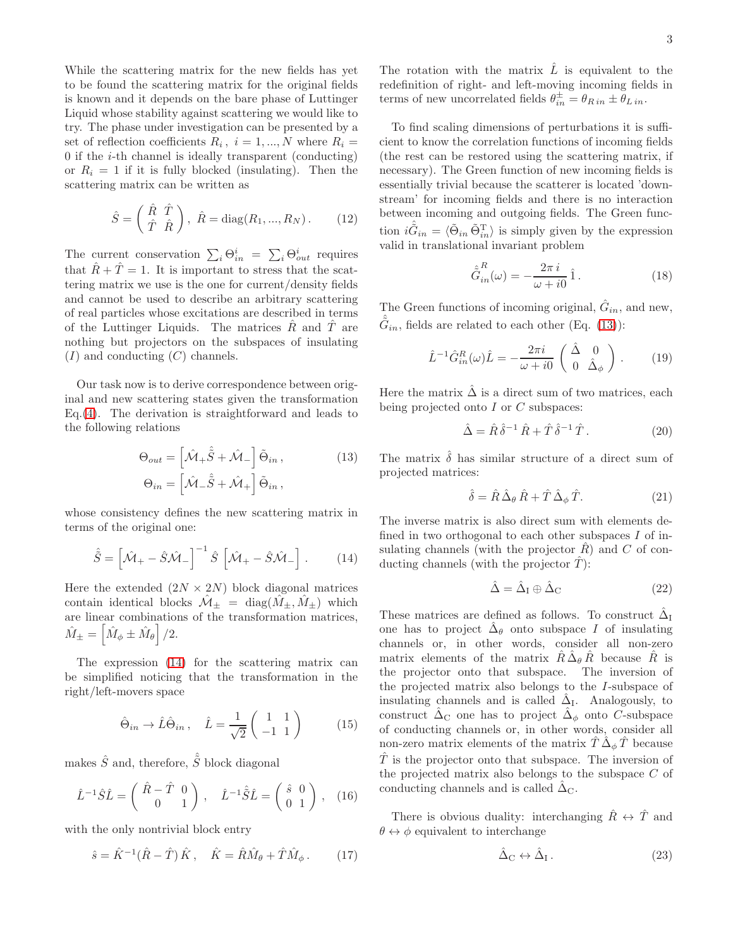While the scattering matrix for the new fields has yet to be found the scattering matrix for the original fields is known and it depends on the bare phase of Luttinger Liquid whose stability against scattering we would like to try. The phase under investigation can be presented by a set of reflection coefficients  $R_i$ ,  $i = 1, ..., N$  where  $R_i =$  $0$  if the  $i$ -th channel is ideally transparent (conducting) or  $R_i = 1$  if it is fully blocked (insulating). Then the scattering matrix can be written as

$$
\hat{S} = \begin{pmatrix} \hat{R} & \hat{T} \\ \hat{T} & \hat{R} \end{pmatrix}, \ \hat{R} = \text{diag}(R_1, ..., R_N). \tag{12}
$$

The current conservation  $\sum_i \Theta_{in}^i = \sum_i \Theta_{out}^i$  requires that  $\hat{R} + \hat{T} = 1$ . It is important to stress that the scattering matrix we use is the one for current/density fields and cannot be used to describe an arbitrary scattering of real particles whose excitations are described in terms of the Luttinger Liquids. The matrices  $\hat{R}$  and  $\hat{T}$  are nothing but projectors on the subspaces of insulating  $(I)$  and conducting  $(C)$  channels.

Our task now is to derive correspondence between original and new scattering states given the transformation Eq.[\(4\)](#page-1-1). The derivation is straightforward and leads to the following relations

$$
\Theta_{out} = \left[\hat{\mathcal{M}}_{+} \hat{\tilde{S}} + \hat{\mathcal{M}}_{-}\right] \tilde{\Theta}_{in},
$$
  
\n
$$
\Theta_{in} = \left[\hat{\mathcal{M}}_{-} \hat{\tilde{S}} + \hat{\mathcal{M}}_{+}\right] \tilde{\Theta}_{in},
$$
\n(13)

whose consistency defines the new scattering matrix in terms of the original one:

$$
\hat{\tilde{S}} = \left[ \hat{\mathcal{M}}_{+} - \hat{S} \hat{\mathcal{M}}_{-} \right]^{-1} \hat{S} \left[ \hat{\mathcal{M}}_{+} - \hat{S} \hat{\mathcal{M}}_{-} \right]. \tag{14}
$$

Here the extended  $(2N \times 2N)$  block diagonal matrices contain identical blocks  $\mathcal{M}_{+} = \text{diag}(M_{+}, M_{+})$  which are linear combinations of the transformation matrices,  $\hat{M}_{\pm} = \left[ \hat{M}_{\phi} \pm \hat{M}_{\theta} \right] / 2.$ 

The expression [\(14\)](#page-2-0) for the scattering matrix can be simplified noticing that the transformation in the right/left-movers space

$$
\hat{\Theta}_{in} \to \hat{L}\hat{\Theta}_{in} , \quad \hat{L} = \frac{1}{\sqrt{2}} \begin{pmatrix} 1 & 1 \\ -1 & 1 \end{pmatrix} \tag{15}
$$

makes  $\hat{S}$  and, therefore,  $\hat{\tilde{S}}$  block diagonal

$$
\hat{L}^{-1}\hat{S}\hat{L} = \begin{pmatrix} \hat{R} - \hat{T} & 0 \\ 0 & 1 \end{pmatrix}, \quad \hat{L}^{-1}\hat{S}\hat{L} = \begin{pmatrix} \hat{s} & 0 \\ 0 & 1 \end{pmatrix}, \quad (16)
$$

with the only nontrivial block entry

$$
\hat{s} = \hat{K}^{-1}(\hat{R} - \hat{T})\hat{K}, \quad \hat{K} = \hat{R}\hat{M}_{\theta} + \hat{T}\hat{M}_{\phi}.
$$
 (17)

The rotation with the matrix  $\hat{L}$  is equivalent to the redefinition of right- and left-moving incoming fields in terms of new uncorrelated fields  $\theta_{in}^{\pm} = \theta_{R \, in} \pm \theta_{L \, in}$ .

To find scaling dimensions of perturbations it is sufficient to know the correlation functions of incoming fields (the rest can be restored using the scattering matrix, if necessary). The Green function of new incoming fields is essentially trivial because the scatterer is located 'downstream' for incoming fields and there is no interaction between incoming and outgoing fields. The Green function  $i\hat{\tilde{G}}_{in} = \langle \tilde{\Theta}_{in} \tilde{\Theta}_{in}^{\mathrm{T}} \rangle$  is simply given by the expression valid in translational invariant problem

<span id="page-2-2"></span>
$$
\hat{\tilde{G}}_{in}^{R}(\omega) = -\frac{2\pi i}{\omega + i0} \hat{1}.
$$
\n(18)

The Green functions of incoming original,  $\hat{G}_{in}$ , and new,  $\hat{G}_{in}$ , fields are related to each other (Eq. [\(13\)](#page-2-1)):

$$
\hat{L}^{-1}\hat{G}_{in}^{R}(\omega)\hat{L} = -\frac{2\pi i}{\omega + i0} \begin{pmatrix} \hat{\Delta} & 0\\ 0 & \hat{\Delta}_{\phi} \end{pmatrix} . \tag{19}
$$

Here the matrix  $\tilde{\Delta}$  is a direct sum of two matrices, each being projected onto  $I$  or  $C$  subspaces:

$$
\hat{\Delta} = \hat{R}\,\hat{\delta}^{-1}\,\hat{R} + \hat{T}\,\hat{\delta}^{-1}\,\hat{T} \,. \tag{20}
$$

<span id="page-2-1"></span>The matrix  $\delta$  has similar structure of a direct sum of projected matrices:

$$
\hat{\delta} = \hat{R}\,\hat{\Delta}_{\theta}\,\hat{R} + \hat{T}\,\hat{\Delta}_{\phi}\,\hat{T}.\tag{21}
$$

<span id="page-2-0"></span>The inverse matrix is also direct sum with elements defined in two orthogonal to each other subspaces I of insulating channels (with the projector  $\hat{R}$ ) and  $C$  of conducting channels (with the projector  $\hat{T}$ ):

$$
\hat{\Delta} = \hat{\Delta}_{\rm I} \oplus \hat{\Delta}_{\rm C} \tag{22}
$$

These matrices are defined as follows. To construct  $\hat{\Delta}_{\text{I}}$ one has to project  $\hat{\Delta}_{\theta}$  onto subspace I of insulating channels or, in other words, consider all non-zero matrix elements of the matrix  $\hat{R} \, \hat{\Delta}_{\theta} \, \hat{R}$  because  $\hat{R}$  is the projector onto that subspace. The inversion of the projected matrix also belongs to the I-subspace of insulating channels and is called  $\hat{\Delta}_{I}$ . Analogously, to construct  $\hat{\Delta}_{\mathbf{C}}$  one has to project  $\hat{\Delta}_{\phi}$  onto C-subspace of conducting channels or, in other words, consider all non-zero matrix elements of the matrix  $\hat{T} \hat{\Delta}_{\phi} \hat{T}$  because  $\hat{T}$  is the projector onto that subspace. The inversion of the projected matrix also belongs to the subspace C of conducting channels and is called  $\hat{\Delta}_{\rm C}$ .

There is obvious duality: interchanging  $\hat{R} \leftrightarrow \hat{T}$  and  $\theta \leftrightarrow \phi$  equivalent to interchange

$$
\hat{\Delta}_{\rm C} \leftrightarrow \hat{\Delta}_{\rm I} \,. \tag{23}
$$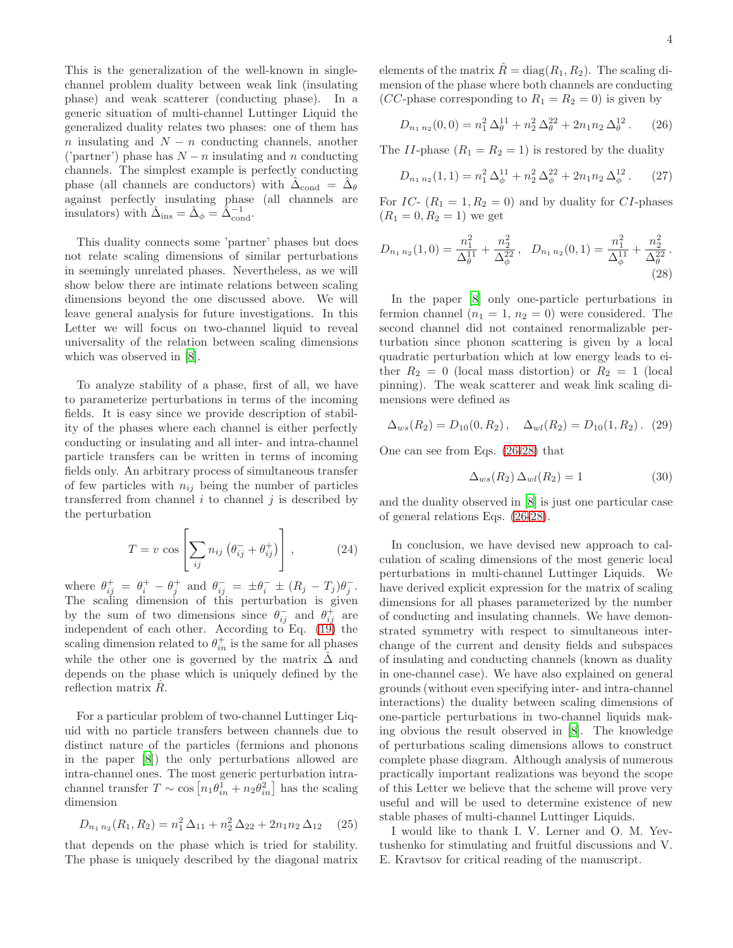This is the generalization of the well-known in singlechannel problem duality between weak link (insulating phase) and weak scatterer (conducting phase). In a generic situation of multi-channel Luttinger Liquid the generalized duality relates two phases: one of them has n insulating and  $N - n$  conducting channels, another ('partner') phase has  $N - n$  insulating and n conducting channels. The simplest example is perfectly conducting phase (all channels are conductors) with  $\hat{\Delta}_{\text{cond}} = \hat{\Delta}_{\theta}$ against perfectly insulating phase (all channels are insulators) with  $\hat{\Delta}_{ins} = \hat{\Delta}_{\phi} = \hat{\Delta}_{cond}^{-1}$ .

This duality connects some 'partner' phases but does not relate scaling dimensions of similar perturbations in seemingly unrelated phases. Nevertheless, as we will show below there are intimate relations between scaling dimensions beyond the one discussed above. We will leave general analysis for future investigations. In this Letter we will focus on two-channel liquid to reveal universality of the relation between scaling dimensions which was observed in [\[8](#page-4-7)].

To analyze stability of a phase, first of all, we have to parameterize perturbations in terms of the incoming fields. It is easy since we provide description of stability of the phases where each channel is either perfectly conducting or insulating and all inter- and intra-channel particle transfers can be written in terms of incoming fields only. An arbitrary process of simultaneous transfer of few particles with  $n_{ij}$  being the number of particles transferred from channel  $i$  to channel  $j$  is described by the perturbation

$$
T = v \cos \left[ \sum_{ij} n_{ij} \left( \theta_{ij}^- + \theta_{ij}^+ \right) \right], \qquad (24)
$$

where  $\theta_{ij}^+ = \theta_i^+ - \theta_j^+$  and  $\theta_{ij}^- = \pm \theta_i^- \pm (R_j - T_j)\theta_j^ \frac{-}{j}$ . The scaling dimension of this perturbation is given by the sum of two dimensions since  $\theta_{ij}^-$  and  $\theta_{ij}^+$  are independent of each other. According to Eq. [\(19\)](#page-2-2) the scaling dimension related to  $\theta_{in}^{+}$  is the same for all phases while the other one is governed by the matrix  $\Delta$  and depends on the phase which is uniquely defined by the reflection matrix  $R$ .

For a particular problem of two-channel Luttinger Liquid with no particle transfers between channels due to distinct nature of the particles (fermions and phonons in the paper [\[8](#page-4-7)]) the only perturbations allowed are intra-channel ones. The most generic perturbation intrachannel transfer  $T \sim \cos\left[n_1 \theta_{in}^1 + n_2 \theta_{in}^2\right]$  has the scaling dimension

$$
D_{n_1 n_2}(R_1, R_2) = n_1^2 \Delta_{11} + n_2^2 \Delta_{22} + 2n_1 n_2 \Delta_{12} \quad (25)
$$

that depends on the phase which is tried for stability. The phase is uniquely described by the diagonal matrix elements of the matrix  $\hat{R} = \text{diag}(R_1, R_2)$ . The scaling dimension of the phase where both channels are conducting (*CC*-phase corresponding to  $R_1 = R_2 = 0$ ) is given by

<span id="page-3-0"></span>
$$
D_{n_1 n_2}(0,0) = n_1^2 \Delta_\theta^{11} + n_2^2 \Delta_\theta^{22} + 2n_1 n_2 \Delta_\theta^{12}. \tag{26}
$$

The II-phase  $(R_1 = R_2 = 1)$  is restored by the duality

<span id="page-3-1"></span>
$$
D_{n_1 n_2}(1,1) = n_1^2 \Delta_{\phi}^{11} + n_2^2 \Delta_{\phi}^{22} + 2n_1 n_2 \Delta_{\phi}^{12}. \qquad (27)
$$

For IC-  $(R_1 = 1, R_2 = 0)$  and by duality for CI-phases  $(R_1 = 0, R_2 = 1)$  we get

$$
D_{n_1 n_2}(1,0) = \frac{n_1^2}{\Delta_{\theta}^{11}} + \frac{n_2^2}{\Delta_{\phi}^{22}}, \quad D_{n_1 n_2}(0,1) = \frac{n_1^2}{\Delta_{\phi}^{11}} + \frac{n_2^2}{\Delta_{\theta}^{22}}.
$$
\n(28)

In the paper [\[8\]](#page-4-7) only one-particle perturbations in fermion channel  $(n_1 = 1, n_2 = 0)$  were considered. The second channel did not contained renormalizable perturbation since phonon scattering is given by a local quadratic perturbation which at low energy leads to either  $R_2 = 0$  (local mass distortion) or  $R_2 = 1$  (local pinning). The weak scatterer and weak link scaling dimensions were defined as

$$
\Delta_{ws}(R_2) = D_{10}(0, R_2), \quad \Delta_{wl}(R_2) = D_{10}(1, R_2). \tag{29}
$$

One can see from Eqs. [\(26](#page-3-0)[-28\)](#page-3-1) that

$$
\Delta_{ws}(R_2) \,\Delta_{wl}(R_2) = 1\tag{30}
$$

and the duality observed in [\[8](#page-4-7)] is just one particular case of general relations Eqs. [\(26-](#page-3-0)[28\)](#page-3-1).

In conclusion, we have devised new approach to calculation of scaling dimensions of the most generic local perturbations in multi-channel Luttinger Liquids. We have derived explicit expression for the matrix of scaling dimensions for all phases parameterized by the number of conducting and insulating channels. We have demonstrated symmetry with respect to simultaneous interchange of the current and density fields and subspaces of insulating and conducting channels (known as duality in one-channel case). We have also explained on general grounds (without even specifying inter- and intra-channel interactions) the duality between scaling dimensions of one-particle perturbations in two-channel liquids making obvious the result observed in [\[8](#page-4-7)]. The knowledge of perturbations scaling dimensions allows to construct complete phase diagram. Although analysis of numerous practically important realizations was beyond the scope of this Letter we believe that the scheme will prove very useful and will be used to determine existence of new stable phases of multi-channel Luttinger Liquids.

I would like to thank I. V. Lerner and O. M. Yevtushenko for stimulating and fruitful discussions and V. E. Kravtsov for critical reading of the manuscript.